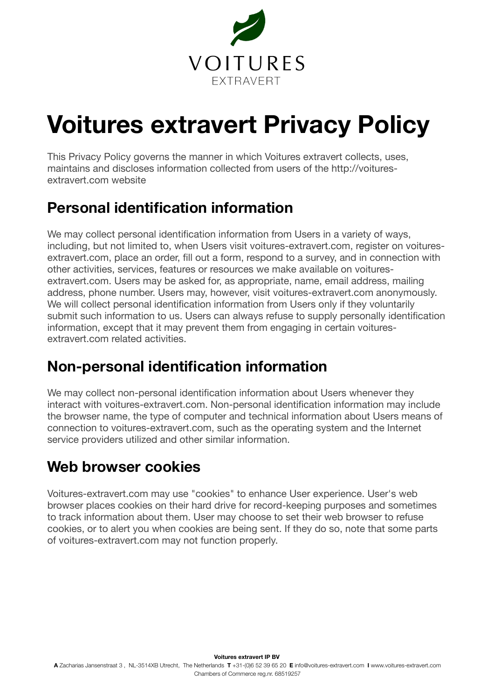

# **Voitures extravert Privacy Policy**

This Privacy Policy governs the manner in which Voitures extravert collects, uses, maintains and discloses information collected from users of the http://voituresextravert.com website

# **Personal identification information**

We may collect personal identification information from Users in a variety of ways, including, but not limited to, when Users visit voitures-extravert.com, register on voituresextravert.com, place an order, fill out a form, respond to a survey, and in connection with other activities, services, features or resources we make available on voituresextravert.com. Users may be asked for, as appropriate, name, email address, mailing address, phone number. Users may, however, visit voitures-extravert.com anonymously. We will collect personal identification information from Users only if they voluntarily submit such information to us. Users can always refuse to supply personally identification information, except that it may prevent them from engaging in certain voituresextravert.com related activities

# **Non-personal identification information**

We may collect non-personal identification information about Users whenever they interact with voitures-extravert.com. Non-personal identification information may include the browser name, the type of computer and technical information about Users means of connection to voitures-extravert.com, such as the operating system and the Internet service providers utilized and other similar information.

# **Web browser cookies**

Voitures-extravert.com may use "cookies" to enhance User experience. User's web browser places cookies on their hard drive for record-keeping purposes and sometimes to track information about them. User may choose to set their web browser to refuse cookies, or to alert you when cookies are being sent. If they do so, note that some parts of voitures-extravert.com may not function properly.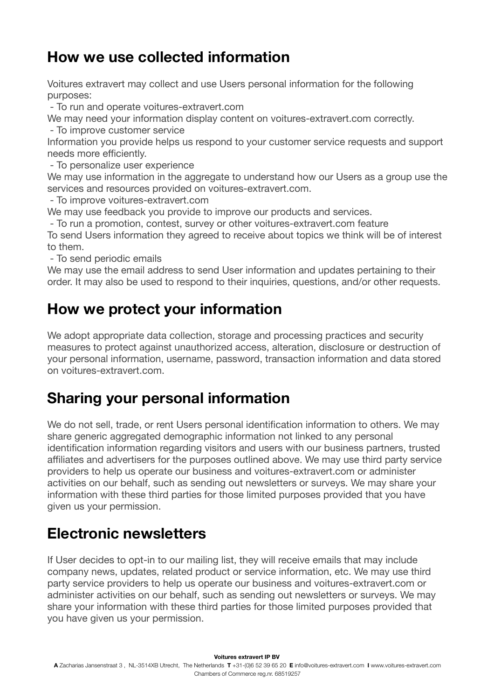# **How we use collected information**

Voitures extravert may collect and use Users personal information for the following purposes:

- To run and operate voitures-extravert.com

We may need your information display content on voitures-extravert.com correctly. - To improve customer service

Information you provide helps us respond to your customer service requests and support needs more efficiently.

- To personalize user experience

We may use information in the aggregate to understand how our Users as a group use the services and resources provided on voitures-extravert.com.

- To improve voitures-extravert.com

We may use feedback you provide to improve our products and services.

- To run a promotion, contest, survey or other voitures-extravert.com feature

To send Users information they agreed to receive about topics we think will be of interest to them.

- To send periodic emails

We may use the email address to send User information and updates pertaining to their order. It may also be used to respond to their inquiries, questions, and/or other requests.

# **How we protect your information**

We adopt appropriate data collection, storage and processing practices and security measures to protect against unauthorized access, alteration, disclosure or destruction of your personal information, username, password, transaction information and data stored on voitures-extravert.com.

#### **Sharing your personal information**

We do not sell, trade, or rent Users personal identification information to others. We may share generic aggregated demographic information not linked to any personal identification information regarding visitors and users with our business partners, trusted affiliates and advertisers for the purposes outlined above. We may use third party service providers to help us operate our business and voitures-extravert.com or administer activities on our behalf, such as sending out newsletters or surveys. We may share your information with these third parties for those limited purposes provided that you have given us your permission.

#### **Electronic newsletters**

If User decides to opt-in to our mailing list, they will receive emails that may include company news, updates, related product or service information, etc. We may use third party service providers to help us operate our business and voitures-extravert.com or administer activities on our behalf, such as sending out newsletters or surveys. We may share your information with these third parties for those limited purposes provided that you have given us your permission.